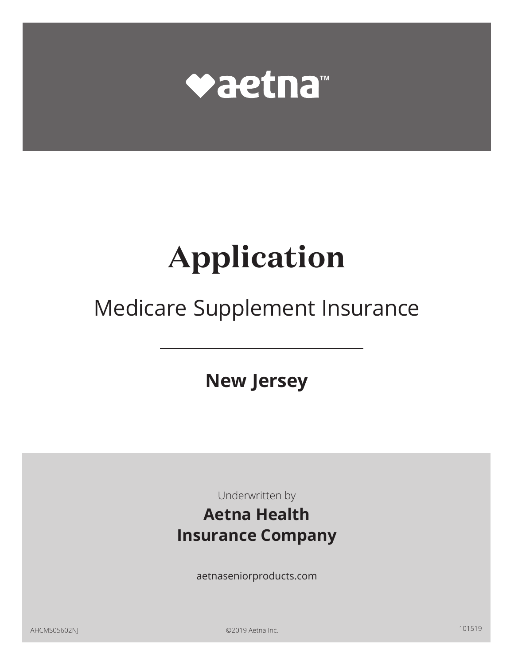

# **Application**

## Medicare Supplement Insurance

**New Jersey** 

 Underwritten by

## **Aetna Health Insurance Company**

aetnaseniorproducts.com

AHCMS05602NJ ©2019 Aetna Inc. 101519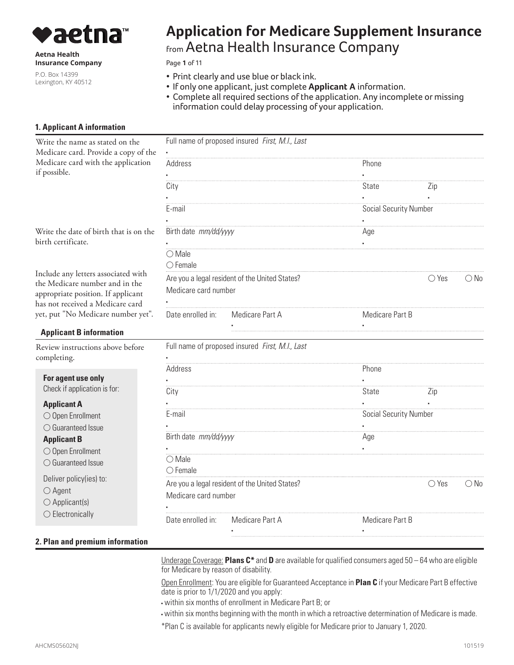

**Aetna Health Insurance Company** 

P.O. Box 14399 Lexington, KY 40512

## **Application for Medicare Supplement Insurance**  from Aetna Health Insurance Company

Page **1** of 11

- Print clearly and use blue or black ink.
- If only one applicant, just complete **Applicant A** information.
- Complete all required sections of the application. Any incomplete or missing information could delay processing of your application.

#### **1. Applicant A information**

| Write the name as stated on the                                                                             |                                                                        | Full name of proposed insured First, M.I., Last |                               |                |               |  |
|-------------------------------------------------------------------------------------------------------------|------------------------------------------------------------------------|-------------------------------------------------|-------------------------------|----------------|---------------|--|
| Medicare card. Provide a copy of the                                                                        |                                                                        |                                                 |                               |                |               |  |
| Medicare card with the application<br>if possible.                                                          | Address                                                                |                                                 | Phone                         |                |               |  |
|                                                                                                             | City                                                                   |                                                 | State                         | Zip            |               |  |
|                                                                                                             |                                                                        |                                                 |                               |                |               |  |
|                                                                                                             | E-mail                                                                 |                                                 | <b>Social Security Number</b> |                |               |  |
|                                                                                                             |                                                                        |                                                 |                               |                |               |  |
| Write the date of birth that is on the<br>birth certificate.                                                | Birth date mm/dd/yyyy                                                  |                                                 | Age                           |                |               |  |
|                                                                                                             | $\bigcirc$ Male<br>$\bigcirc$ Female                                   |                                                 |                               |                |               |  |
| Include any letters associated with<br>the Medicare number and in the<br>appropriate position. If applicant | Medicare card number                                                   | Are you a legal resident of the United States?  |                               | $\bigcirc$ Yes | $\bigcirc$ No |  |
| has not received a Medicare card<br>yet, put "No Medicare number yet".                                      | Date enrolled in:<br>Medicare Part A                                   |                                                 | Medicare Part B               |                |               |  |
| <b>Applicant B information</b>                                                                              |                                                                        |                                                 |                               |                |               |  |
| Review instructions above before<br>completing.                                                             |                                                                        | Full name of proposed insured First, M.I., Last |                               |                |               |  |
|                                                                                                             | Address                                                                |                                                 | Phone                         |                |               |  |
| For agent use only<br>Check if application is for:                                                          | City                                                                   |                                                 | State                         | Zip            |               |  |
|                                                                                                             |                                                                        |                                                 |                               |                |               |  |
| <b>Applicant A</b><br>$\bigcirc$ Open Enrollment                                                            | E-mail                                                                 |                                                 | <b>Social Security Number</b> |                |               |  |
| $\bigcirc$ Guaranteed Issue                                                                                 |                                                                        |                                                 |                               |                |               |  |
|                                                                                                             | Birth date mm/dd/yyyy                                                  |                                                 | Age                           |                |               |  |
| <b>Applicant B</b>                                                                                          |                                                                        |                                                 |                               |                |               |  |
| $\bigcirc$ Open Enrollment                                                                                  | $\bigcirc$ Male                                                        |                                                 |                               |                |               |  |
| $\bigcirc$ Guaranteed Issue                                                                                 | $\bigcirc$ Female                                                      |                                                 |                               |                |               |  |
| Deliver policy(ies) to:                                                                                     |                                                                        |                                                 |                               | $\bigcirc$ Yes | $\bigcirc$ No |  |
| $\bigcirc$ Agent                                                                                            | Are you a legal resident of the United States?<br>Medicare card number |                                                 |                               |                |               |  |
| $\bigcirc$ Applicant(s)                                                                                     |                                                                        |                                                 |                               |                |               |  |
| $\bigcirc$ Electronically                                                                                   | Date enrolled in:                                                      | Medicare Part A                                 | Medicare Part B               |                |               |  |
|                                                                                                             |                                                                        |                                                 |                               |                |               |  |
| 2. Plan and premium information                                                                             |                                                                        |                                                 |                               |                |               |  |

Underage Coverage: **Plans C\*** and **D** are available for qualified consumers aged 50 – 64 who are eligible for Medicare by reason of disability.

Open Enrollment: You are eligible for Guaranteed Acceptance in **Plan C** if your Medicare Part B effective date is prior to 1/1/2020 and you apply:

▪ within six months of enrollment in Medicare Part B; or

▪ within six months beginning with the month in which a retroactive determination of Medicare is made.

\*Plan C is available for applicants newly eligible for Medicare prior to January 1, 2020.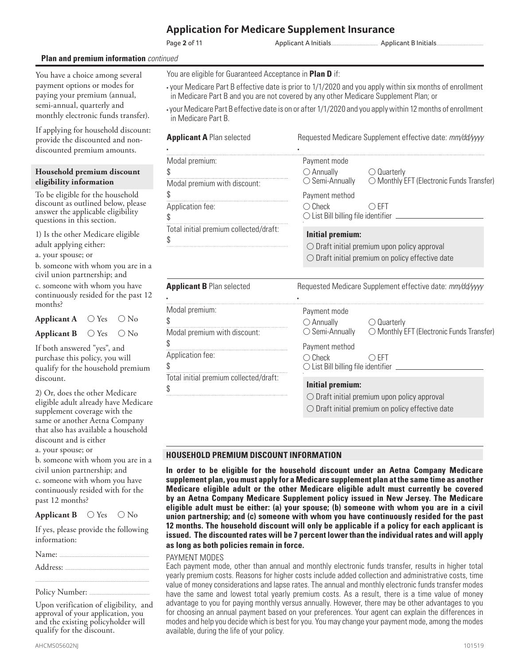#### Page **2** of 11

Applicant A Initials........................................................ Applicant B Initials........................................................

#### **Plan and premium information** *continued*

You have a choice among several payment options or modes for paying your premium (annual, semi-annual, quarterly and monthly electronic funds transfer).

If applying for household discount: provide the discounted and nondiscounted premium amounts.

#### **Household premium discount eligibility information**

To be eligible for the household discount as outlined below, please answer the applicable eligibility questions in this section.

1) Is the other Medicare eligible adult applying either:

a. your spouse; or

b. someone with whom you are in a civil union partnership; and c. someone with whom you have continuously resided for the past 12 months?

 **Applicant A** ○ Yes ○ No **Applicant B** ○ Yes ○ No

If both answered "yes", and purchase this policy, you will qualify for the household premium discount.

2) Or, does the other Medicare eligible adult already have Medicare supplement coverage with the same or another Aetna Company that also has available a household discount and is either

a. your spouse; or

b. someone with whom you are in a civil union partnership; and c. someone with whom you have continuously resided with for the past 12 months?

**Applicant B** ○ Yes ○ No

If yes, please provide the following information:

Address: ...

Policy Number: .....

Upon verification of eligibility, and approval of your application, you and the existing policyholder will qualify for the discount.

........................................................................................................................................

- your Medicare Part B effective date is prior to 1/1/2020 and you apply within six months of enrollment in Medicare Part B and you are not covered by any other Medicare Supplement Plan; or
- your Medicare Part B effective date is on or after 1/1/2020 and you apply within 12 months of enrollment in Medicare Part B.

| <b>Applicant A Plan selected</b>                                               | Requested Medicare Supplement effective date: mm/dd/yyyy                                                                                                                                                                                 |  |  |
|--------------------------------------------------------------------------------|------------------------------------------------------------------------------------------------------------------------------------------------------------------------------------------------------------------------------------------|--|--|
| Modal premium:<br>\$<br>Modal premium with discount:<br>\$<br>Application fee: | Payment mode<br>$\bigcirc$ Annually<br>$\bigcirc$ Quarterly<br>◯ Monthly EFT (Electronic Funds Transfer)<br>$\bigcirc$ Semi-Annually<br>Payment method<br>$\bigcirc$ Check<br>$\bigcirc$ EFT                                             |  |  |
| \$                                                                             | ◯ List Bill billing file identifier _________                                                                                                                                                                                            |  |  |
| Total initial premium collected/draft:<br>\$                                   | <b>Initial premium:</b><br>$\bigcirc$ Draft initial premium upon policy approval<br>$\bigcirc$ Draft initial premium on policy effective date                                                                                            |  |  |
| <b>Applicant B Plan selected</b>                                               | Requested Medicare Supplement effective date: mm/dd/yyyy                                                                                                                                                                                 |  |  |
| Modal premium:<br>\$<br>Modal premium with discount:<br>Application fee:       | Payment mode<br>$\bigcirc$ Annually $\bigcirc$ Quarterly<br>$\bigcirc$ Semi-Annually<br>◯ Monthly EFT (Electronic Funds Transfer)<br>Payment method<br>$\bigcirc$ Check<br>$\bigcirc$ EFT<br>◯ List Bill billing file identifier _______ |  |  |
| Total initial premium collected/draft:                                         | <b>Initial premium:</b><br>$\bigcirc$ Draft initial premium upon policy approval<br>O Draft initial premium on policy effective date                                                                                                     |  |  |

#### **HOUSEHOLD PREMIUM DISCOUNT INFORMATION**

**In order to be eligible for the household discount under an Aetna Company Medicare supplement plan, you must apply for a Medicare supplement plan at the same time as another Medicare eligible adult or the other Medicare eligible adult must currently be covered by an Aetna Company Medicare Supplement policy issued in New Jersey. The Medicare eligible adult must be either: (a) your spouse; (b) someone with whom you are in a civil union partnership; and (c) someone with whom you have continuously resided for the past 12 months. The household discount will only be applicable if a policy for each applicant is issued. The discounted rates will be 7 percent lower than the individual rates and will apply as long as both policies remain in force.** 

#### PAYMENT MODES

Each payment mode, other than annual and monthly electronic funds transfer, results in higher total yearly premium costs. Reasons for higher costs include added collection and administrative costs, time value of money considerations and lapse rates. The annual and monthly electronic funds transfer modes have the same and lowest total yearly premium costs. As a result, there is a time value of money advantage to you for paying monthly versus annually. However, there may be other advantages to you for choosing an annual payment based on your preferences. Your agent can explain the differences in modes and help you decide which is best for you. You may change your payment mode, among the modes available, during the life of your policy.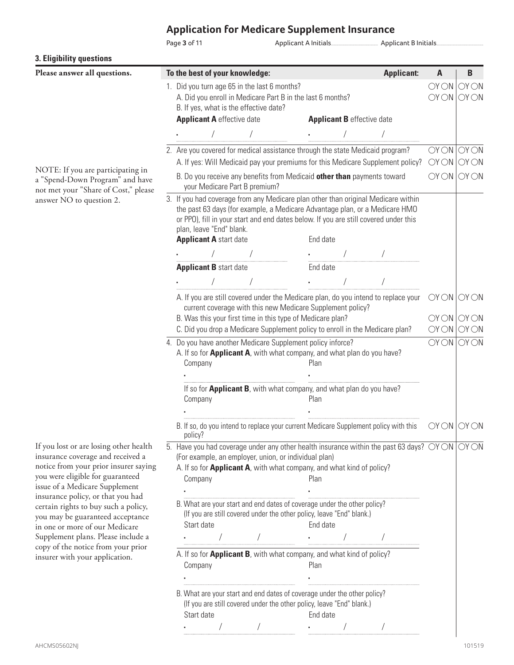Page **3** of 11 Applicant A Initials........................................................ Applicant B Initials........................................................

| 3. Eligibility questions                                                                                                                                                                                                                                                |  |                                                                                                                                                                                                                                                                                                                                                                         |  |                                                                                                                                                                                                                                                                                                                               |  |                                                                                                   |                            |      |
|-------------------------------------------------------------------------------------------------------------------------------------------------------------------------------------------------------------------------------------------------------------------------|--|-------------------------------------------------------------------------------------------------------------------------------------------------------------------------------------------------------------------------------------------------------------------------------------------------------------------------------------------------------------------------|--|-------------------------------------------------------------------------------------------------------------------------------------------------------------------------------------------------------------------------------------------------------------------------------------------------------------------------------|--|---------------------------------------------------------------------------------------------------|----------------------------|------|
| Please answer all questions.                                                                                                                                                                                                                                            |  | To the best of your knowledge:                                                                                                                                                                                                                                                                                                                                          |  |                                                                                                                                                                                                                                                                                                                               |  | <b>Applicant:</b>                                                                                 | A                          | B    |
|                                                                                                                                                                                                                                                                         |  | 1. Did you turn age 65 in the last 6 months?<br>A. Did you enroll in Medicare Part B in the last 6 months?<br>B. If yes, what is the effective date?                                                                                                                                                                                                                    |  |                                                                                                                                                                                                                                                                                                                               |  |                                                                                                   | OY ON ON ON<br>OY ON ON ON |      |
|                                                                                                                                                                                                                                                                         |  | <b>Applicant A</b> effective date                                                                                                                                                                                                                                                                                                                                       |  | <b>Applicant B</b> effective date                                                                                                                                                                                                                                                                                             |  |                                                                                                   |                            |      |
|                                                                                                                                                                                                                                                                         |  |                                                                                                                                                                                                                                                                                                                                                                         |  |                                                                                                                                                                                                                                                                                                                               |  |                                                                                                   |                            |      |
|                                                                                                                                                                                                                                                                         |  | 2. Are you covered for medical assistance through the state Medicaid program?                                                                                                                                                                                                                                                                                           |  |                                                                                                                                                                                                                                                                                                                               |  | A. If yes: Will Medicaid pay your premiums for this Medicare Supplement policy?                   | OY ON ON ON<br>OYON        | OYON |
| NOTE: If you are participating in<br>a "Spend-Down Program" and have                                                                                                                                                                                                    |  | B. Do you receive any benefits from Medicaid other than payments toward<br>your Medicare Part B premium?                                                                                                                                                                                                                                                                |  |                                                                                                                                                                                                                                                                                                                               |  | $OY ON$ $OY ON$                                                                                   |                            |      |
| not met your "Share of Cost," please<br>answer NO to question 2.                                                                                                                                                                                                        |  | 3. If you had coverage from any Medicare plan other than original Medicare within<br>the past 63 days (for example, a Medicare Advantage plan, or a Medicare HMO<br>or PPO), fill in your start and end dates below. If you are still covered under this<br>plan, leave "End" blank.<br><b>Applicant A start date</b>                                                   |  | End date                                                                                                                                                                                                                                                                                                                      |  |                                                                                                   |                            |      |
|                                                                                                                                                                                                                                                                         |  |                                                                                                                                                                                                                                                                                                                                                                         |  |                                                                                                                                                                                                                                                                                                                               |  |                                                                                                   |                            |      |
|                                                                                                                                                                                                                                                                         |  | <b>Applicant B start date</b>                                                                                                                                                                                                                                                                                                                                           |  | End date                                                                                                                                                                                                                                                                                                                      |  |                                                                                                   |                            |      |
|                                                                                                                                                                                                                                                                         |  |                                                                                                                                                                                                                                                                                                                                                                         |  |                                                                                                                                                                                                                                                                                                                               |  |                                                                                                   |                            |      |
|                                                                                                                                                                                                                                                                         |  |                                                                                                                                                                                                                                                                                                                                                                         |  |                                                                                                                                                                                                                                                                                                                               |  |                                                                                                   |                            |      |
|                                                                                                                                                                                                                                                                         |  | B. Was this your first time in this type of Medicare plan?<br>C. Did you drop a Medicare Supplement policy to enroll in the Medicare plan?                                                                                                                                                                                                                              |  | current coverage with this new Medicare Supplement policy?                                                                                                                                                                                                                                                                    |  | A. If you are still covered under the Medicare plan, do you intend to replace your OYON OYON      | OY ON ON ON<br>OY ON ON ON |      |
|                                                                                                                                                                                                                                                                         |  | 4. Do you have another Medicare Supplement policy inforce?<br>A. If so for <b>Applicant A</b> , with what company, and what plan do you have?<br>Company                                                                                                                                                                                                                |  | Plan                                                                                                                                                                                                                                                                                                                          |  |                                                                                                   | $OY ON$ $OY ON$            |      |
|                                                                                                                                                                                                                                                                         |  | Company                                                                                                                                                                                                                                                                                                                                                                 |  | If so for Applicant B, with what company, and what plan do you have?<br>Plan                                                                                                                                                                                                                                                  |  |                                                                                                   |                            |      |
|                                                                                                                                                                                                                                                                         |  | policy?                                                                                                                                                                                                                                                                                                                                                                 |  |                                                                                                                                                                                                                                                                                                                               |  | B. If so, do you intend to replace your current Medicare Supplement policy with this $OYON$ OY ON |                            |      |
| If you lost or are losing other health<br>insurance coverage and received a<br>notice from your prior insurer saying<br>you were eligible for guaranteed<br>issue of a Medicare Supplement<br>insurance policy, or that you had<br>certain rights to buy such a policy, |  | 5. Have you had coverage under any other health insurance within the past 63 days? $\bigcirc$ Y $\bigcirc$ N $\bigcirc$ Y $\bigcirc$ N<br>(For example, an employer, union, or individual plan)<br>A. If so for <b>Applicant A</b> , with what company, and what kind of policy?<br>Company<br>B. What are your start and end dates of coverage under the other policy? |  | Plan                                                                                                                                                                                                                                                                                                                          |  |                                                                                                   |                            |      |
| you may be guaranteed acceptance<br>in one or more of our Medicare                                                                                                                                                                                                      |  | Start date                                                                                                                                                                                                                                                                                                                                                              |  | (If you are still covered under the other policy, leave "End" blank.)<br>End date                                                                                                                                                                                                                                             |  |                                                                                                   |                            |      |
| Supplement plans. Please include a                                                                                                                                                                                                                                      |  |                                                                                                                                                                                                                                                                                                                                                                         |  |                                                                                                                                                                                                                                                                                                                               |  |                                                                                                   |                            |      |
| copy of the notice from your prior<br>insurer with your application.                                                                                                                                                                                                    |  | A. If so for <b>Applicant B</b> , with what company, and what kind of policy?<br>Company                                                                                                                                                                                                                                                                                |  | Plan                                                                                                                                                                                                                                                                                                                          |  |                                                                                                   |                            |      |
|                                                                                                                                                                                                                                                                         |  |                                                                                                                                                                                                                                                                                                                                                                         |  |                                                                                                                                                                                                                                                                                                                               |  |                                                                                                   |                            |      |
|                                                                                                                                                                                                                                                                         |  | B. What are your start and end dates of coverage under the other policy?<br>Start date                                                                                                                                                                                                                                                                                  |  | (If you are still covered under the other policy, leave "End" blank.)<br>End date                                                                                                                                                                                                                                             |  |                                                                                                   |                            |      |
|                                                                                                                                                                                                                                                                         |  |                                                                                                                                                                                                                                                                                                                                                                         |  | $\cdot$ / $\cdot$ / $\cdot$ / $\cdot$ / $\cdot$ / $\cdot$ / $\cdot$ / $\cdot$ / $\cdot$ / $\cdot$ / $\cdot$ / $\cdot$ / $\cdot$ / $\cdot$ / $\cdot$ / $\cdot$ / $\cdot$ / $\cdot$ / $\cdot$ / $\cdot$ / $\cdot$ / $\cdot$ / $\cdot$ / $\cdot$ / $\cdot$ / $\cdot$ / $\cdot$ / $\cdot$ / $\cdot$ / $\cdot$ / $\cdot$ / $\cdot$ |  |                                                                                                   |                            |      |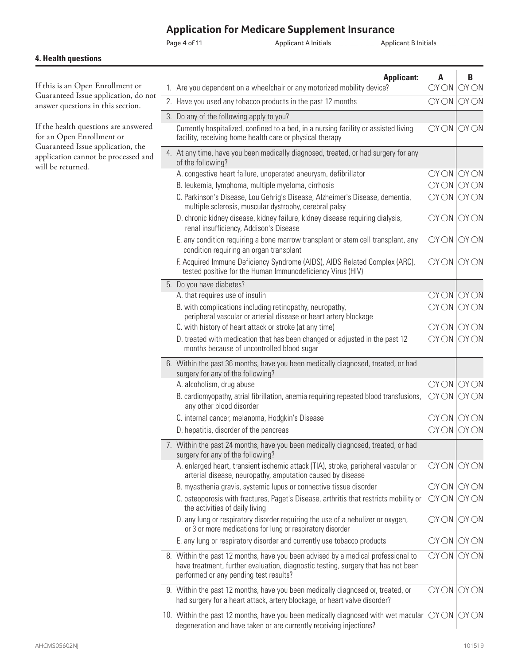Page **4** of 11 Applicant A Initials........................................................ Applicant B Initials........................................................

#### **4. Health questions**

If this is an Open Enrollment or Guaranteed Issue application, do not answer questions in this section.

If the health questions are answered for an Open Enrollment or Guaranteed Issue application, the application cannot be processed and will be returned.

| <b>Applicant:</b><br>1. Are you dependent on a wheelchair or any motorized mobility device?                                                                                                                     | A<br>OYON    | В<br>OYON                                                                  |
|-----------------------------------------------------------------------------------------------------------------------------------------------------------------------------------------------------------------|--------------|----------------------------------------------------------------------------|
| 2. Have you used any tobacco products in the past 12 months                                                                                                                                                     | OYON         | $\overline{O}$ $\overline{O}$ $\overline{O}$ $\overline{O}$ $\overline{O}$ |
| 3. Do any of the following apply to you?<br>Currently hospitalized, confined to a bed, in a nursing facility or assisted living<br>facility, receiving home health care or physical therapy                     |              | OY ON ON ON                                                                |
| 4. At any time, have you been medically diagnosed, treated, or had surgery for any<br>of the following?                                                                                                         |              |                                                                            |
| A. congestive heart failure, unoperated aneurysm, defibrillator<br>B. leukemia, lymphoma, multiple myeloma, cirrhosis                                                                                           |              | $OY$ $ON$ $OY$ $ON$<br>$OY ON$ $OY ON$                                     |
| C. Parkinson's Disease, Lou Gehrig's Disease, Alzheimer's Disease, dementia,<br>multiple sclerosis, muscular dystrophy, cerebral palsy                                                                          | OYON         | <b>OY ON</b>                                                               |
| D. chronic kidney disease, kidney failure, kidney disease requiring dialysis,<br>renal insufficiency, Addison's Disease                                                                                         | OYON         | OYON                                                                       |
| E. any condition requiring a bone marrow transplant or stem cell transplant, any<br>condition requiring an organ transplant                                                                                     | OYON         | OYON                                                                       |
| F. Acquired Immune Deficiency Syndrome (AIDS), AIDS Related Complex (ARC),<br>tested positive for the Human Immunodeficiency Virus (HIV)                                                                        | OYON         | OYON                                                                       |
| 5. Do you have diabetes?                                                                                                                                                                                        |              |                                                                            |
| A. that requires use of insulin<br>B. with complications including retinopathy, neuropathy,                                                                                                                     | OYON<br>OYON | OYON<br>OYON                                                               |
| peripheral vascular or arterial disease or heart artery blockage                                                                                                                                                |              |                                                                            |
| C. with history of heart attack or stroke (at any time)                                                                                                                                                         |              | $OY ON$ $OY ON$                                                            |
| D. treated with medication that has been changed or adjusted in the past 12<br>months because of uncontrolled blood sugar                                                                                       | OYON         | OYON                                                                       |
| 6. Within the past 36 months, have you been medically diagnosed, treated, or had<br>surgery for any of the following?                                                                                           |              |                                                                            |
| A. alcoholism, drug abuse                                                                                                                                                                                       | OYON         | OYON                                                                       |
| B. cardiomyopathy, atrial fibrillation, anemia requiring repeated blood transfusions,<br>any other blood disorder                                                                                               | OYON         | OYON                                                                       |
| C. internal cancer, melanoma, Hodgkin's Disease                                                                                                                                                                 |              | $OY$ $ON$ $OY$ $ON$                                                        |
| D. hepatitis, disorder of the pancreas                                                                                                                                                                          | OYON         | OYON                                                                       |
| 7. Within the past 24 months, have you been medically diagnosed, treated, or had<br>surgery for any of the following?                                                                                           |              |                                                                            |
| A. enlarged heart, transient ischemic attack (TIA), stroke, peripheral vascular or<br>arterial disease, neuropathy, amputation caused by disease                                                                | OYON         | $\overline{\text{OY}}$ $\overline{\text{O}}$ $\overline{\text{N}}$         |
| B. myasthenia gravis, systemic lupus or connective tissue disorder                                                                                                                                              | OYON         | OYON                                                                       |
| C. osteoporosis with fractures, Paget's Disease, arthritis that restricts mobility or<br>the activities of daily living                                                                                         | OYON         | OYON                                                                       |
| D. any lung or respiratory disorder requiring the use of a nebulizer or oxygen,<br>or 3 or more medications for lung or respiratory disorder                                                                    | OYON         | OYON                                                                       |
| E. any lung or respiratory disorder and currently use tobacco products                                                                                                                                          |              | $OY ON$ $OY ON$                                                            |
| 8. Within the past 12 months, have you been advised by a medical professional to<br>have treatment, further evaluation, diagnostic testing, surgery that has not been<br>performed or any pending test results? | OYON         | OYON                                                                       |
| 9. Within the past 12 months, have you been medically diagnosed or, treated, or<br>had surgery for a heart attack, artery blockage, or heart valve disorder?                                                    | OYON         | OYON                                                                       |
| 10. Within the past 12 months, have you been medically diagnosed with wet macular $\sqrt{O(N)}$<br>degeneration and have taken or are currently receiving injections?                                           |              | OYON                                                                       |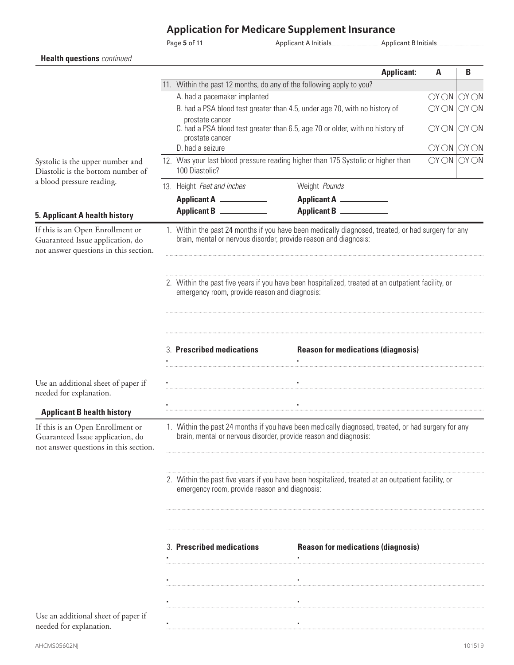Page **5** of 11 Applicant A Initials........................................................ Applicant B Initials........................................................

|                                                                                                               |  |                                                                                                    | <b>Applicant:</b>                                                                                  | A                          | B           |
|---------------------------------------------------------------------------------------------------------------|--|----------------------------------------------------------------------------------------------------|----------------------------------------------------------------------------------------------------|----------------------------|-------------|
|                                                                                                               |  | 11. Within the past 12 months, do any of the following apply to you?                               |                                                                                                    |                            |             |
|                                                                                                               |  | A. had a pacemaker implanted                                                                       |                                                                                                    | OY ON ON ON                |             |
|                                                                                                               |  | B. had a PSA blood test greater than 4.5, under age 70, with no history of                         |                                                                                                    |                            | OY ON ON ON |
|                                                                                                               |  | prostate cancer<br>prostate cancer<br>D. had a seizure                                             | C. had a PSA blood test greater than 6.5, age 70 or older, with no history of                      | OY ON ON ON<br>OY ON ON ON |             |
| Systolic is the upper number and                                                                              |  |                                                                                                    |                                                                                                    | OY ON ON ON                |             |
| Diastolic is the bottom number of                                                                             |  | 12. Was your last blood pressure reading higher than 175 Systolic or higher than<br>100 Diastolic? |                                                                                                    |                            |             |
| a blood pressure reading.                                                                                     |  | 13. Height Feet and inches                                                                         | Weight Pounds                                                                                      |                            |             |
|                                                                                                               |  | Applicant A __________                                                                             | Applicant A ___________                                                                            |                            |             |
|                                                                                                               |  | Applicant B                                                                                        | Applicant B                                                                                        |                            |             |
| 5. Applicant A health history                                                                                 |  |                                                                                                    |                                                                                                    |                            |             |
| If this is an Open Enrollment or<br>Guaranteed Issue application, do<br>not answer questions in this section. |  | brain, mental or nervous disorder, provide reason and diagnosis:                                   | 1. Within the past 24 months if you have been medically diagnosed, treated, or had surgery for any |                            |             |
|                                                                                                               |  | emergency room, provide reason and diagnosis:                                                      | 2. Within the past five years if you have been hospitalized, treated at an outpatient facility, or |                            |             |
|                                                                                                               |  | 3. Prescribed medications                                                                          | <b>Reason for medications (diagnosis)</b>                                                          |                            |             |
| Use an additional sheet of paper if<br>needed for explanation.                                                |  |                                                                                                    |                                                                                                    |                            |             |
| <b>Applicant B health history</b>                                                                             |  |                                                                                                    |                                                                                                    |                            |             |
| If this is an Open Enrollment or<br>Guaranteed Issue application, do<br>not answer questions in this section. |  | brain, mental or nervous disorder, provide reason and diagnosis:                                   | 1. Within the past 24 months if you have been medically diagnosed, treated, or had surgery for any |                            |             |
|                                                                                                               |  | emergency room, provide reason and diagnosis:                                                      | 2. Within the past five years if you have been hospitalized, treated at an outpatient facility, or |                            |             |
|                                                                                                               |  | 3. Prescribed medications                                                                          | <b>Reason for medications (diagnosis)</b>                                                          |                            |             |
|                                                                                                               |  |                                                                                                    |                                                                                                    |                            |             |
|                                                                                                               |  |                                                                                                    |                                                                                                    |                            |             |
| Use an additional sheet of paper if<br>needed for explanation.                                                |  |                                                                                                    |                                                                                                    |                            |             |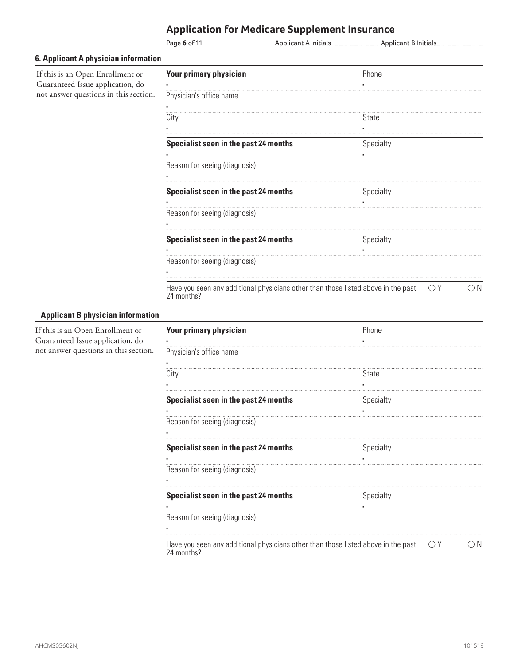|                                                                      | <b>Application for Medicare Supplement Insurance</b> |  |           |  |
|----------------------------------------------------------------------|------------------------------------------------------|--|-----------|--|
|                                                                      | Page 6 of 11                                         |  |           |  |
| <b>6. Applicant A physician information</b>                          |                                                      |  |           |  |
| If this is an Open Enrollment or<br>Guaranteed Issue application, do | <b>Your primary physician</b>                        |  | Phone     |  |
| not answer questions in this section.                                | Physician's office name                              |  |           |  |
|                                                                      | City                                                 |  | State     |  |
|                                                                      | Specialist seen in the past 24 months                |  | Specialty |  |
|                                                                      | Reason for seeing (diagnosis)                        |  |           |  |
|                                                                      | Specialist seen in the past 24 months                |  | Specialty |  |
|                                                                      | Reason for seeing (diagnosis)                        |  |           |  |
|                                                                      | Specialist seen in the past 24 months                |  | Specialty |  |
|                                                                      | Reason for seeing (diagnosis)                        |  |           |  |

Have you seen any additional physicians other than those listed above in the past 24 months?  $\bigcirc Y$   $\bigcirc N$ 

#### **Applicant B physician information**

If this is an Open Enrollment or Guaranteed Issue application, do not answer questions in this section.

| <b>Your primary physician</b>                                                                   | Phone     |   |
|-------------------------------------------------------------------------------------------------|-----------|---|
|                                                                                                 |           |   |
| Physician's office name                                                                         |           |   |
|                                                                                                 |           |   |
| City                                                                                            | State     |   |
|                                                                                                 |           |   |
| Specialist seen in the past 24 months                                                           | Specialty |   |
|                                                                                                 |           |   |
| Reason for seeing (diagnosis)                                                                   |           |   |
|                                                                                                 |           |   |
| Specialist seen in the past 24 months                                                           | Specialty |   |
|                                                                                                 |           |   |
| Reason for seeing (diagnosis)                                                                   |           |   |
|                                                                                                 |           |   |
| Specialist seen in the past 24 months                                                           | Specialty |   |
|                                                                                                 |           |   |
| Reason for seeing (diagnosis)                                                                   |           |   |
|                                                                                                 |           |   |
| Have you seen any additional physicians other than those listed above in the past<br>24 months? | OΥ        | N |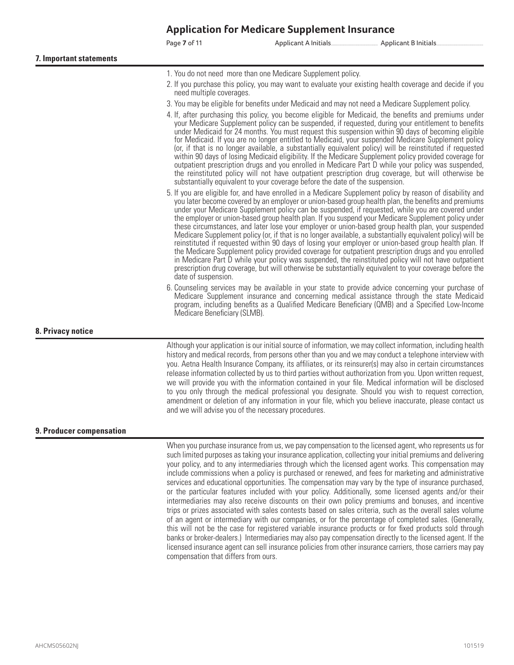#### $\ddot{\phantom{0}}$

Page **7** of 11 Applicant A Initials........................................................ Applicant B Initials........................................................

- 1. You do not need more than one Medicare Supplement policy.
- 2. If you purchase this policy, you may want to evaluate your existing health coverage and decide if you need multiple coverages.
- 3. You may be eligible for benefits under Medicaid and may not need a Medicare Supplement policy.
- 4. If, after purchasing this policy, you become eligible for Medicaid, the benefits and premiums under your Medicare Supplement policy can be suspended, if requested, during your entitlement to benefits under Medicaid for 24 months. You must request this suspension within 90 days of becoming eligible for Medicaid. If you are no longer entitled to Medicaid, your suspended Medicare Supplement policy (or, if that is no longer available, a substantially equivalent policy) will be reinstituted if requested within 90 days of losing Medicaid eligibility. If the Medicare Supplement policy provided coverage for outpatient prescription drugs and you enrolled in Medicare Part D while your policy was suspended, the reinstituted policy will not have outpatient prescription drug coverage, but will otherwise be substantially equivalent to your coverage before the date of the suspension.
- 5. If you are eligible for, and have enrolled in a Medicare Supplement policy by reason of disability and you later become covered by an employer or union-based group health plan, the benefits and premiums under your Medicare Supplement policy can be suspended, if requested, while you are covered under the employer or union-based group health plan. If you suspend your Medicare Supplement policy under these circumstances, and later lose your employer or union-based group health plan, your suspended Medicare Supplement policy (or, if that is no longer available, a substantially equivalent policy) will be reinstituted if requested within 90 days of losing your employer or union-based group health plan. If the Medicare Supplement policy provided coverage for outpatient prescription drugs and you enrolled in Medicare Part D while your policy was suspended, the reinstituted policy will not have outpatient prescription drug coverage, but will otherwise be substantially equivalent to your coverage before the date of suspension.
- 6. Counseling services may be available in your state to provide advice concerning your purchase of Medicare Supplement insurance and concerning medical assistance through the state Medicaid program, including benefits as a Qualified Medicare Beneficiary (QMB) and a Specified Low-Income Medicare Beneficiary (SLMB).

#### **8. Privacy notice**

Although your application is our initial source of information, we may collect information, including health history and medical records, from persons other than you and we may conduct a telephone interview with you. Aetna Health Insurance Company, its affiliates, or its reinsurer(s) may also in certain circumstances release information collected by us to third parties without authorization from you. Upon written request, we will provide you with the information contained in your file. Medical information will be disclosed to you only through the medical professional you designate. Should you wish to request correction, amendment or deletion of any information in your file, which you believe inaccurate, please contact us and we will advise you of the necessary procedures.

#### **9. Producer compensation**

When you purchase insurance from us, we pay compensation to the licensed agent, who represents us for such limited purposes as taking your insurance application, collecting your initial premiums and delivering your policy, and to any intermediaries through which the licensed agent works. This compensation may include commissions when a policy is purchased or renewed, and fees for marketing and administrative services and educational opportunities. The compensation may vary by the type of insurance purchased, or the particular features included with your policy. Additionally, some licensed agents and/or their intermediaries may also receive discounts on their own policy premiums and bonuses, and incentive trips or prizes associated with sales contests based on sales criteria, such as the overall sales volume of an agent or intermediary with our companies, or for the percentage of completed sales. (Generally, this will not be the case for registered variable insurance products or for fixed products sold through banks or broker-dealers.) Intermediaries may also pay compensation directly to the licensed agent. If the licensed insurance agent can sell insurance policies from other insurance carriers, those carriers may pay compensation that differs from ours.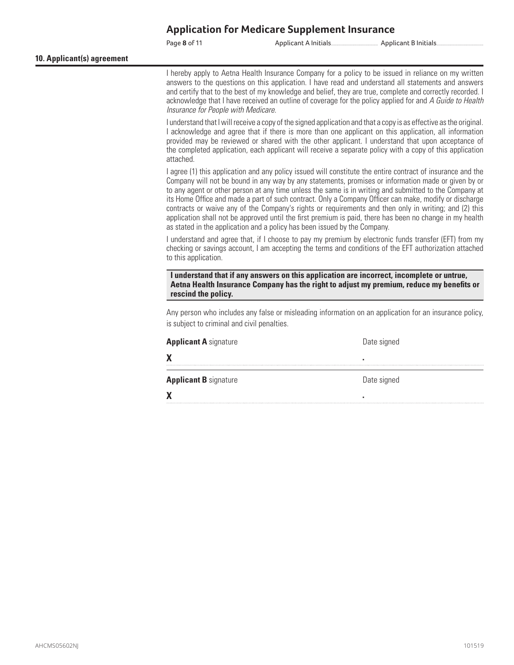Page **8** of 11 Applicant A Initials........................................................ Applicant B Initials........................................................

**10. Applicant(s) agreement** 

I hereby apply to Aetna Health Insurance Company for a policy to be issued in reliance on my written answers to the questions on this application. I have read and understand all statements and answers and certify that to the best of my knowledge and belief, they are true, complete and correctly recorded. I acknowledge that I have received an outline of coverage for the policy applied for and *A Guide to Health Insurance for People with Medicare*.

I understand that I will receive a copy of the signed application and that a copy is as effective as the original. I acknowledge and agree that if there is more than one applicant on this application, all information provided may be reviewed or shared with the other applicant. I understand that upon acceptance of the completed application, each applicant will receive a separate policy with a copy of this application attached.

I agree (1) this application and any policy issued will constitute the entire contract of insurance and the Company will not be bound in any way by any statements, promises or information made or given by or to any agent or other person at any time unless the same is in writing and submitted to the Company at its Home Office and made a part of such contract. Only a Company Officer can make, modify or discharge contracts or waive any of the Company's rights or requirements and then only in writing; and (2) this application shall not be approved until the first premium is paid, there has been no change in my health as stated in the application and a policy has been issued by the Company.

I understand and agree that, if I choose to pay my premium by electronic funds transfer (EFT) from my checking or savings account, I am accepting the terms and conditions of the EFT authorization attached to this application.

**I understand that if any answers on this application are incorrect, incomplete or untrue, Aetna Health Insurance Company has the right to adjust my premium, reduce my benefits or rescind the policy.** 

Any person who includes any false or misleading information on an application for an insurance policy, is subject to criminal and civil penalties.

| <b>Applicant A</b> signature | Date signed |
|------------------------------|-------------|
| Χ                            |             |
| <b>Applicant B</b> signature | Date signed |
| Χ                            |             |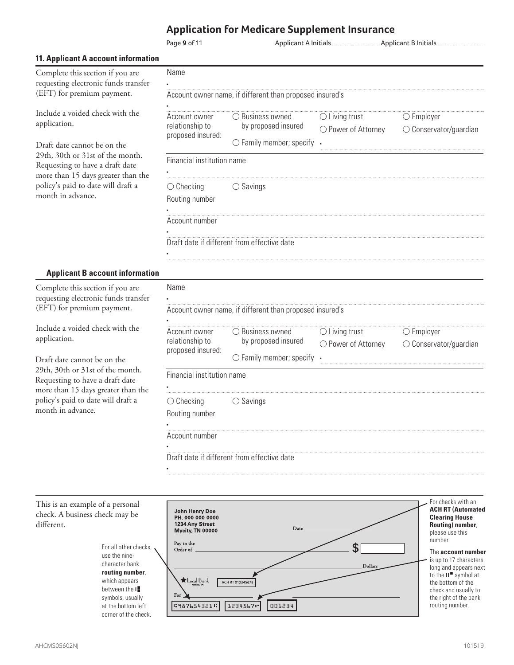Name

▪

▪

▪

▪

▪

Name ▪

Page **9** of 11 Applicant A Initials........................................................ Applicant B Initials........................................................

#### **11. Applicant A account information**

| Complete this section if you are     |
|--------------------------------------|
| requesting electronic funds transfer |
| (EFT) for premium payment.           |

Include a voided check with the application.

Draft date cannot be on the 29th, 30th or 31st of the month. Requesting to have a draft date more than 15 days greater than the policy's paid to date will draft a month in advance.

| Account owner name, if different than proposed insured's |  |
|----------------------------------------------------------|--|

| Account owner<br>relationship to<br>proposed insured: | $\bigcirc$ Business owned<br>by proposed insured<br>$\bigcirc$ Family member; specify $\cdot$ | $\bigcirc$ Living trust<br>$\bigcirc$ Power of Attorney | $\bigcirc$ Employer<br>$\bigcirc$ Conservator/guardian |
|-------------------------------------------------------|-----------------------------------------------------------------------------------------------|---------------------------------------------------------|--------------------------------------------------------|
| Financial institution name                            |                                                                                               |                                                         |                                                        |

|  | $\bigcirc$ Checkina |  |
|--|---------------------|--|

Routing number

| Account number |  |  |
|----------------|--|--|

Draft date if different from effective date

○ Savings

#### **Applicant B account information**

Complete this section if you are requesting electronic funds transfer (EFT) for premium payment.

Include a voided check with the application.

Draft date cannot be on the 29th, 30th or 31st of the month. Requesting to have a draft date more than 15 days greater than the policy's paid to date will draft a month in advance.

### Account owner name, if different than proposed insured's

| Account owner<br>relationship to<br>proposed insured: | $\bigcirc$ Business owned         | $\bigcirc$ Living trust | $\bigcirc$ Employer             |
|-------------------------------------------------------|-----------------------------------|-------------------------|---------------------------------|
|                                                       | by proposed insured               | ○ Power of Attorney     | $\bigcirc$ Conservator/guardian |
|                                                       | $\bigcirc$ Family member; specify |                         |                                 |
| Financial institution name                            |                                   |                         |                                 |
|                                                       |                                   |                         |                                 |
| $\bigcirc$ Checking                                   | Savings                           |                         |                                 |
| Routing number                                        |                                   |                         |                                 |
|                                                       |                                   |                         |                                 |
| Account number                                        |                                   |                         |                                 |
|                                                       |                                   |                         |                                 |

Draft date if different from effective date

For checks with an This is an example of a personal **ACH RT (Automated**  John Henry Doe<br>PH. 000-000-0000 check. A business check may be **Clearing House**  different. 1234 Any Street **Routing) number**, Date Mycity, TN 00000 please use this number. Pay to the \$ For all other checks, Order of The **account number**  use the nineis up to 17 characters character bank Dollars long and appears next **routing number**, to the **II** ■ symbol at which appears  $\bigstar$  Local Bank ACH RT 012345678 the bottom of the between the **I** check and usually to For symbols, usually the right of the bank  $1:3876543214$ 001234 at the bottom left 1234567" routing number. corner of the check.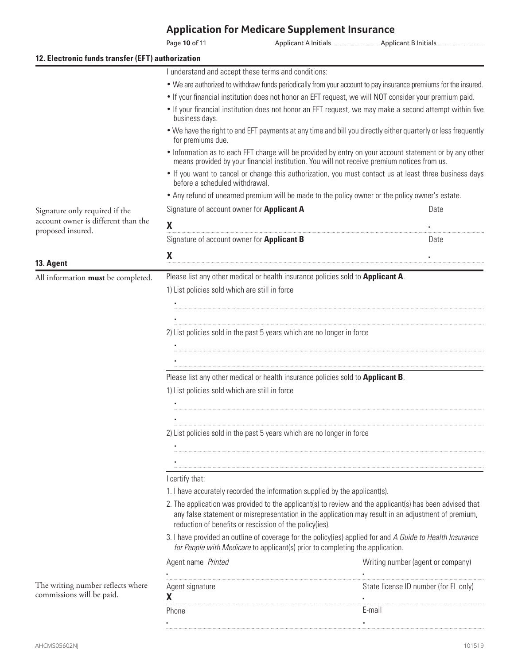Page **10** of 11 Applicant A Initials........................................................ Applicant B Initials........................................................ **12. Electronic funds transfer (EFT) authorization** I understand and accept these terms and conditions: • We are authorized to withdraw funds periodically from your account to pay insurance premiums for the insured. • If your financial institution does not honor an EFT request, we will NOT consider your premium paid. • If your financial institution does not honor an EFT request, we may make a second attempt within five business days. • We have the right to end EFT payments at any time and bill you directly either quarterly or less frequently for premiums due. • Information as to each EFT charge will be provided by entry on your account statement or by any other means provided by your financial institution. You will not receive premium notices from us. • If you want to cancel or change this authorization, you must contact us at least three business days before a scheduled withdrawal. • Any refund of unearned premium will be made to the policy owner or the policy owner's estate. Signature of account owner for **Applicant A Community Constant A Date** Signature only required if the account owner is different than the  $\boldsymbol{\mathsf{X}}$   $\boldsymbol{\mathsf{X}}$   $\boldsymbol{\mathsf{X}}$   $\boldsymbol{\mathsf{X}}$   $\boldsymbol{\mathsf{X}}$   $\boldsymbol{\mathsf{X}}$   $\boldsymbol{\mathsf{X}}$   $\boldsymbol{\mathsf{X}}$   $\boldsymbol{\mathsf{X}}$   $\boldsymbol{\mathsf{X}}$   $\boldsymbol{\mathsf{X}}$   $\boldsymbol{\mathsf{X}}$   $\boldsymbol{\mathsf{X}}$   $\boldsymbol{\mathsf{X}}$   $\boldsymbol{\mathsf{X}}$   $\boldsymbol{\mathsf{X}}$   $\boldsymbol{\mathsf{X}}$   $\boldsymbol{\mathsf{X}}$   $\boldsymbol{\$ proposed insured. Signature of account owner for **Applicant B B CONFIGURER D D D** ate  $\boldsymbol{\mathsf{X}}$   $\boldsymbol{\mathsf{X}}$   $\boldsymbol{\mathsf{X}}$   $\boldsymbol{\mathsf{X}}$   $\boldsymbol{\mathsf{X}}$   $\boldsymbol{\mathsf{X}}$   $\boldsymbol{\mathsf{X}}$   $\boldsymbol{\mathsf{X}}$   $\boldsymbol{\mathsf{X}}$   $\boldsymbol{\mathsf{X}}$   $\boldsymbol{\mathsf{X}}$   $\boldsymbol{\mathsf{X}}$   $\boldsymbol{\mathsf{X}}$   $\boldsymbol{\mathsf{X}}$   $\boldsymbol{\mathsf{X}}$   $\boldsymbol{\mathsf{X}}$   $\boldsymbol{\mathsf{X}}$   $\boldsymbol{\mathsf{X}}$   $\boldsymbol{\$ **13. Agent** All information **must** be completed. Please list any other medical or health insurance policies sold to **Applicant A**. 1) List policies sold which are still in force ▪ ▪ 2) List policies sold in the past 5 years which are no longer in force ▪ ▪ Please list any other medical or health insurance policies sold to **Applicant B**. 1) List policies sold which are still in force ▪ ▪ 2) List policies sold in the past 5 years which are no longer in force ▪ ▪I certify that: 1. I have accurately recorded the information supplied by the applicant(s). 2. The application was provided to the applicant(s) to review and the applicant(s) has been advised that any false statement or misrepresentation in the application may result in an adjustment of premium, reduction of benefits or rescission of the policy(ies). 3. I have provided an outline of coverage for the policy(ies) applied for and *A Guide to Health Insurance for People with Medicare* to applicant(s) prior to completing the application. Agent name *Printed Printed Merician Company Writing number (agent or company)* ▪ ▪ The writing number reflects where Agent signature State license ID number (for FL only) commissions will be paid. X  $\mathsf{X}$  **x** 

> Phone **E-mail** ▪ ▪

Phone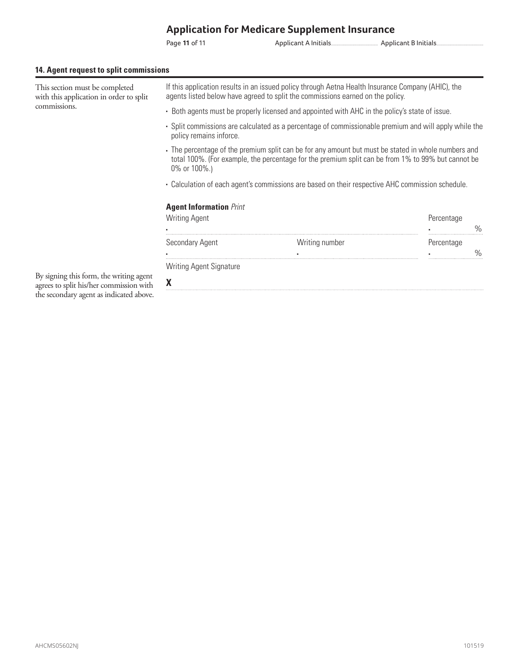Page **11** of 11 Applicant A Initials........................................................ Applicant B Initials........................................................

#### **14. Agent request to split commissions**

| This section must be completed<br>with this application in order to split          | If this application results in an issued policy through Aetna Health Insurance Company (AHIC), the<br>agents listed below have agreed to split the commissions earned on the policy.                                    |                |            |      |  |
|------------------------------------------------------------------------------------|-------------------------------------------------------------------------------------------------------------------------------------------------------------------------------------------------------------------------|----------------|------------|------|--|
| commissions.                                                                       | - Both agents must be properly licensed and appointed with AHC in the policy's state of issue.                                                                                                                          |                |            |      |  |
|                                                                                    | · Split commissions are calculated as a percentage of commissionable premium and will apply while the<br>policy remains inforce.                                                                                        |                |            |      |  |
|                                                                                    | The percentage of the premium split can be for any amount but must be stated in whole numbers and<br>total 100%. (For example, the percentage for the premium split can be from 1% to 99% but cannot be<br>0% or 100%.) |                |            |      |  |
|                                                                                    | - Calculation of each agent's commissions are based on their respective AHC commission schedule.                                                                                                                        |                |            |      |  |
|                                                                                    | <b>Agent Information Print</b>                                                                                                                                                                                          |                |            |      |  |
|                                                                                    | <b>Writing Agent</b>                                                                                                                                                                                                    |                | Percentage | $\%$ |  |
|                                                                                    | Secondary Agent                                                                                                                                                                                                         | Writing number | Percentage | $\%$ |  |
|                                                                                    | Writing Agent Signature                                                                                                                                                                                                 |                |            |      |  |
| By signing this form, the writing agent<br>agrees to split his/her commission with | X                                                                                                                                                                                                                       |                |            |      |  |

agrees to split his/her commission with the secondary agent as indicated above.